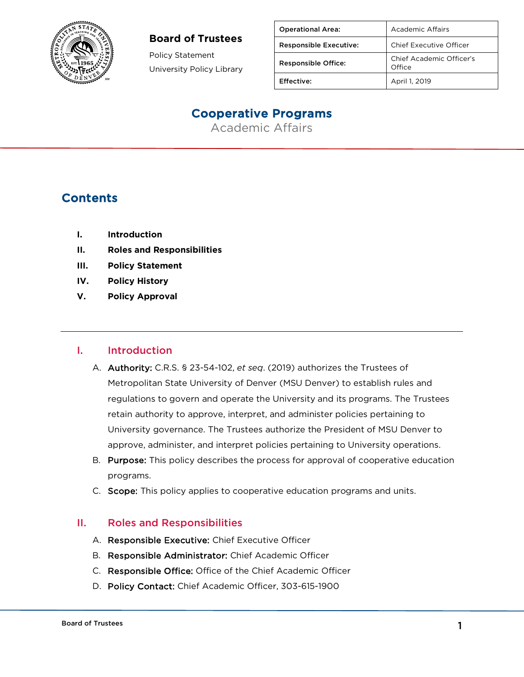

#### **Board of Trustees**

Policy Statement University Policy Library

| <b>Operational Area:</b>      | Academic Affairs                   |
|-------------------------------|------------------------------------|
| <b>Responsible Executive:</b> | Chief Executive Officer            |
| <b>Responsible Office:</b>    | Chief Academic Officer's<br>Office |
| <b>Effective:</b>             | April 1, 2019                      |

# Cooperative Programs

Academic Affairs

## **Contents**

- **I. Introduction**
- **II. Roles and Responsibilities**
- **III. Policy Statement**
- **IV. Policy History**
- **V. Policy Approval**

#### I. Introduction

- A. Authority: C.R.S. § 23-54-102, *et seq*. (2019) authorizes the Trustees of Metropolitan State University of Denver (MSU Denver) to establish rules and regulations to govern and operate the University and its programs. The Trustees retain authority to approve, interpret, and administer policies pertaining to University governance. The Trustees authorize the President of MSU Denver to approve, administer, and interpret policies pertaining to University operations.
- B. Purpose: This policy describes the process for approval of cooperative education programs.
- C. Scope: This policy applies to cooperative education programs and units.

#### II. Roles and Responsibilities

- A. Responsible Executive: Chief Executive Officer
- B. Responsible Administrator: Chief Academic Officer
- C. Responsible Office: Office of the Chief Academic Officer
- D. Policy Contact: Chief Academic Officer, 303-615-1900